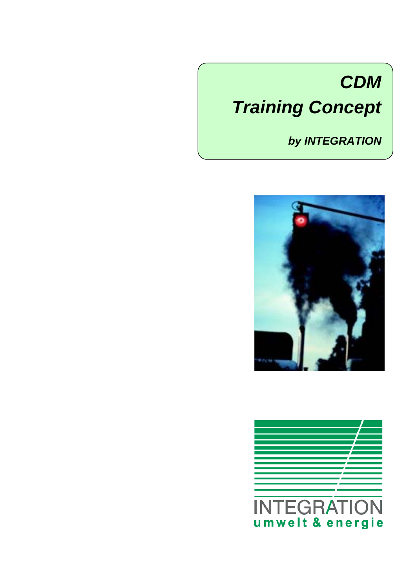# *CDM Training Concept*

# *by INTEGRATION*



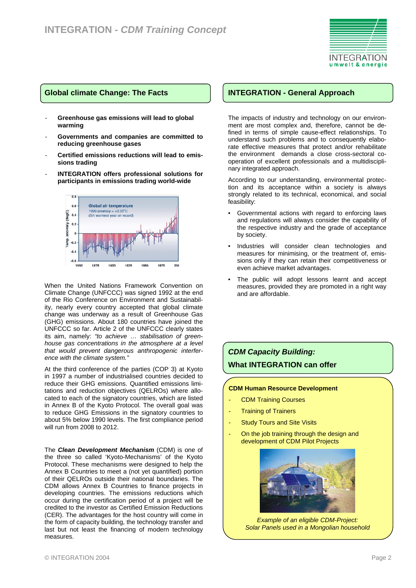

#### **Global climate Change: The Facts**

- Greenhouse gas emissions will lead to global **warming**
- **Governments and companies are committed to reducing greenhouse gases**
- **Certified emissions reductions will lead to emissions trading**
- **INTEGRATION offers professional solutions for participants in emissions trading world-wide**



When the United Nations Framework Convention on Climate Change (UNFCCC) was signed 1992 at the end of the Rio Conference on Environment and Sustainability, nearly every country accepted that global climate change was underway as a result of Greenhouse Gas (GHG) emissions. About 180 countries have joined the UNFCCC so far. Article 2 of the UNFCCC clearly states its aim, namely: *"to achieve … stabilisation of greenhouse gas concentrations in the atmosphere at a level that would prevent dangerous anthropogenic interference with the climate system."* 

At the third conference of the parties (COP 3) at Kyoto in 1997 a number of industrialised countries decided to reduce their GHG emissions. Quantified emissions limitations and reduction objectives (QELROs) where allocated to each of the signatory countries, which are listed in Annex B of the Kyoto Protocol. The overall goal was to reduce GHG Emissions in the signatory countries to about 5% below 1990 levels. The first compliance period will run from 2008 to 2012.

The *Clean Development Mechanism* (CDM) is one of the three so called 'Kyoto-Mechanisms' of the Kyoto Protocol. These mechanisms were designed to help the Annex B Countries to meet a (not yet quantified) portion of their QELROs outside their national boundaries. The CDM allows Annex B Countries to finance projects in developing countries. The emissions reductions which occur during the certification period of a project will be credited to the investor as Certified Emission Reductions (CER). The advantages for the host country will come in the form of capacity building, the technology transfer and last but not least the financing of modern technology measures.

### **INTEGRATION - General Approach**

The impacts of industry and technology on our environment are most complex and, therefore, cannot be defined in terms of simple cause-effect relationships. To understand such problems and to consequently elaborate effective measures that protect and/or rehabilitate the environment demands a close cross-sectoral cooperation of excellent professionals and a multidisciplinary integrated approach.

According to our understanding, environmental protection and its acceptance within a society is always strongly related to its technical, economical, and social feasibility:

- Governmental actions with regard to enforcing laws and regulations will always consider the capability of the respective industry and the grade of acceptance by society.
- Industries will consider clean technologies and measures for minimising, or the treatment of, emissions only if they can retain their competitiveness or even achieve market advantages.
- The public will adopt lessons learnt and accept measures, provided they are promoted in a right way and are affordable.

# *CDM Capacity Building:*  **What INTEGRATION can offer**

#### **CDM Human Resource Development**

- CDM Training Courses
- **Training of Trainers**
- **Study Tours and Site Visits**
- On the job training through the design and development of CDM Pilot Projects



*Example of an eligible CDM-Project: Solar Panels used in a Mongolian household*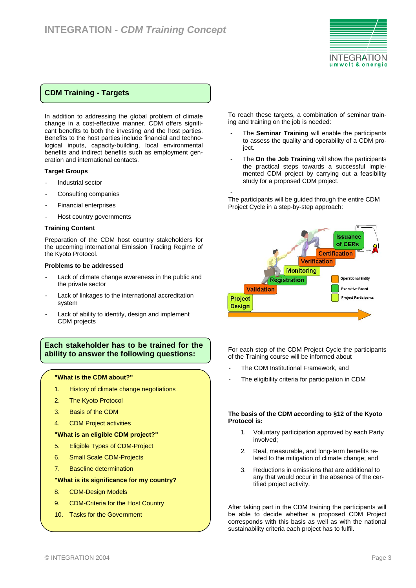

# **CDM Training - Targets**

In addition to addressing the global problem of climate change in a cost-effective manner, CDM offers significant benefits to both the investing and the host parties. Benefits to the host parties include financial and technological inputs, capacity-building, local environmental benefits and indirect benefits such as employment generation and international contacts.

#### **Target Groups**

- Industrial sector
- Consulting companies
- Financial enterprises
- Host country governments

#### **Training Content**

Preparation of the CDM host country stakeholders for the upcoming international Emission Trading Regime of the Kyoto Protocol.

#### **Problems to be addressed**

- Lack of climate change awareness in the public and the private sector
- Lack of linkages to the international accreditation system
- Lack of ability to identify, design and implement CDM projects

# **Each stakeholder has to be trained for the ability to answer the following questions:**

#### **"What is the CDM about?"**

- 1. History of climate change negotiations
- 2. The Kyoto Protocol
- 3. Basis of the CDM
- 4. CDM Project activities

#### **"What is an eligible CDM project?"**

- 5. Eligible Types of CDM-Project
- 6. Small Scale CDM-Projects
- 7. Baseline determination

#### **"What is its significance for my country?**

- 8. CDM-Design Models
- 9. CDM-Criteria for the Host Country
- 10. Tasks for the Government

To reach these targets, a combination of seminar training and training on the job is needed:

- The **Seminar Training** will enable the participants to assess the quality and operability of a CDM project.
- The **On the Job Training** will show the participants the practical steps towards a successful implemented CDM project by carrying out a feasibility study for a proposed CDM project.

- The participants will be guided through the entire CDM Project Cycle in a step-by-step approach:



For each step of the CDM Project Cycle the participants of the Training course will be informed about

- The CDM Institutional Framework, and
- The eligibility criteria for participation in CDM

#### **The basis of the CDM according to §12 of the Kyoto Protocol is:**

- 1. Voluntary participation approved by each Party involved;
- 2. Real, measurable, and long-term benefits related to the mitigation of climate change; and
- 3. Reductions in emissions that are additional to any that would occur in the absence of the certified project activity.

After taking part in the CDM training the participants will be able to decide whether a proposed CDM Project corresponds with this basis as well as with the national sustainability criteria each project has to fulfil.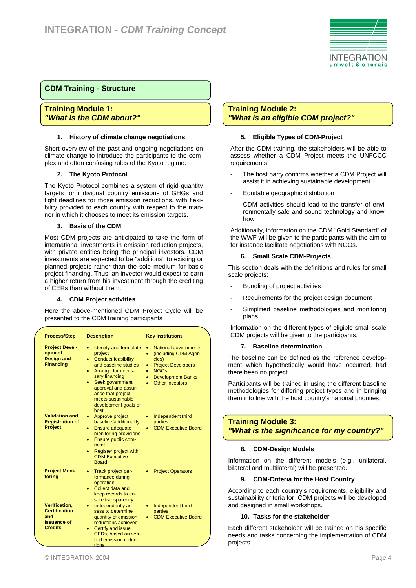

# **CDM Training - Structure**

**Training Module 1:**  *"What is the CDM about?"* 

#### **1. History of climate change negotiations**

Short overview of the past and ongoing negotiations on climate change to introduce the participants to the complex and often confusing rules of the Kyoto regime.

#### **2. The Kyoto Protocol**

The Kyoto Protocol combines a system of rigid quantity targets for individual country emissions of GHGs and tight deadlines for those emission reductions, with flexibility provided to each country with respect to the manner in which it chooses to meet its emission targets.

#### **3. Basis of the CDM**

Most CDM projects are anticipated to take the form of international investments in emission reduction projects, with private entities being the principal investors. CDM investments are expected to be "additions" to existing or planned projects rather than the sole medium for basic project financing. Thus, an investor would expect to earn a higher return from his investment through the crediting of CERs than without them.

#### **4. CDM Project activities**

Here the above-mentioned CDM Project Cycle will be presented to the CDM training participants

| <b>Process/Step</b>                                                                         | <b>Description</b>                                                                                                                                                                                                                                                      | <b>Key Institutions</b>                                                                                                                                                                      |  |
|---------------------------------------------------------------------------------------------|-------------------------------------------------------------------------------------------------------------------------------------------------------------------------------------------------------------------------------------------------------------------------|----------------------------------------------------------------------------------------------------------------------------------------------------------------------------------------------|--|
| <b>Project Devel-</b><br>opment,<br><b>Design and</b><br><b>Financing</b>                   | Identify and formulate<br>۰<br>project<br><b>Conduct feasibility</b><br>۰<br>and baseline studies<br>Arrange for neces-<br>۰<br>sary financing<br>Seek government<br>٠<br>approval and assur-<br>ance that project<br>meets sustainable<br>development goals of<br>host | <b>National governments</b><br>٠<br>(including CDM Agen-<br>٠<br>cies)<br><b>Project Developers</b><br>۰<br><b>NGOs</b><br>۰<br><b>Development Banks</b><br>٠<br><b>Other Investors</b><br>۰ |  |
| <b>Validation and</b><br><b>Registration of</b><br><b>Project</b>                           | Approve project<br>٠<br>baseline/additionality<br><b>Ensure adequate</b><br>٠<br>monitoring provisions<br>Ensure public com-<br>۰<br>ment<br>Register project with<br>$\bullet$<br><b>CDM Executive</b><br><b>Board</b>                                                 | Independent third<br>۰<br>parties<br><b>CDM Executive Board</b>                                                                                                                              |  |
| <b>Project Moni-</b><br>toring                                                              | Track project per-<br>٠<br>formance during<br>operation<br>Collect data and<br>٠<br>keep records to en-<br>sure transparency                                                                                                                                            | <b>Project Operators</b>                                                                                                                                                                     |  |
| <b>Verification,</b><br><b>Certification</b><br>and<br><b>Issuance of</b><br><b>Credits</b> | Independently as-<br>sess to determine<br>quantity of emission<br>reductions achieved<br>Certify and issue<br>CERs, based on veri-<br>fied emission reduc-                                                                                                              | Independent third<br>٠<br>parties<br><b>CDM Executive Board</b>                                                                                                                              |  |

# **Training Module 2:** *"What is an eligible CDM project?"*

#### **5. Eligible Types of CDM-Project**

After the CDM training, the stakeholders will be able to assess whether a CDM Project meets the UNFCCC requirements:

- The host party confirms whether a CDM Project will assist it in achieving sustainable development
- Equitable geographic distribution
- CDM activities should lead to the transfer of environmentally safe and sound technology and knowhow

Additionally, information on the CDM "Gold Standard" of the WWF will be given to the participants with the aim to for instance facilitate negotiations with NGOs.

#### **6. Small Scale CDM-Projects**

This section deals with the definitions and rules for small scale projects:

- Bundling of project activities
- Requirements for the project design document
- Simplified baseline methodologies and monitoring plans

Information on the different types of eligible small scale CDM projects will be given to the participants.

#### **7. Baseline determination**

The baseline can be defined as the reference development which hypothetically would have occurred, had there been no project.

Participants will be trained in using the different baseline methodologies for differing project types and in bringing them into line with the host country's national priorities.

# **Training Module 3:**  *"What is the significance for my country?"*

#### **8. CDM-Design Models**

Information on the different models (e.g., unilateral, bilateral and multilateral) will be presented.

#### **9. CDM-Criteria for the Host Country**

According to each country's requirements, eligibility and sustainability criteria for CDM projects will be developed and designed in small workshops.

#### **10. Tasks for the stakeholder**

Each different stakeholder will be trained on his specific needs and tasks concerning the implementation of CDM projects.

tions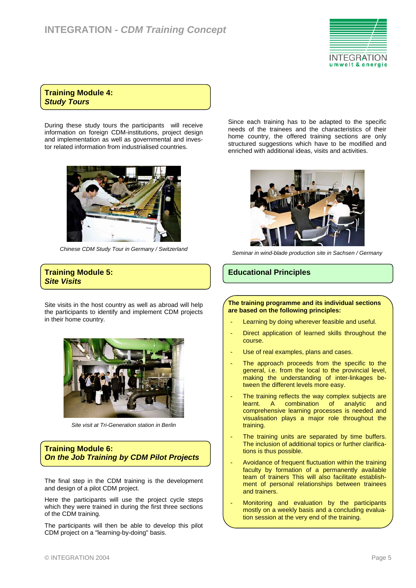

# **Training Module 4:**  *Study Tours*

During these study tours the participants will receive information on foreign CDM-institutions, project design and implementation as well as governmental and investor related information from industrialised countries.



*Chinese CDM Study Tour in Germany / Switzerland* 

#### **Training Module 5:**  *Site Visits*

Site visits in the host country as well as abroad will help the participants to identify and implement CDM projects in their home country.



*Site visit at Tri-Generation station in Berlin* 

# **Training Module 6:**  *On the Job Training by CDM Pilot Projects*

The final step in the CDM training is the development and design of a pilot CDM project.

Here the participants will use the project cycle steps which they were trained in during the first three sections of the CDM training.

The participants will then be able to develop this pilot CDM project on a "learning-by-doing" basis.

Since each training has to be adapted to the specific needs of the trainees and the characteristics of their home country, the offered training sections are only structured suggestions which have to be modified and enriched with additional ideas, visits and activities.



*Seminar in wind-blade production site in Sachsen / Germany* 

# **Educational Principles**

#### **The training programme and its individual sections are based on the following principles:**

- Learning by doing wherever feasible and useful.
- Direct application of learned skills throughout the course.
- Use of real examples, plans and cases.
- The approach proceeds from the specific to the general, i.e. from the local to the provincial level, making the understanding of inter-linkages between the different levels more easy.
- The training reflects the way complex subjects are learnt. A combination of analytic and comprehensive learning processes is needed and visualisation plays a major role throughout the training.
- The training units are separated by time buffers. The inclusion of additional topics or further clarifications is thus possible.
- Avoidance of frequent fluctuation within the training faculty by formation of a permanently available team of trainers This will also facilitate establishment of personal relationships between trainees and trainers.
- Monitoring and evaluation by the participants mostly on a weekly basis and a concluding evaluation session at the very end of the training.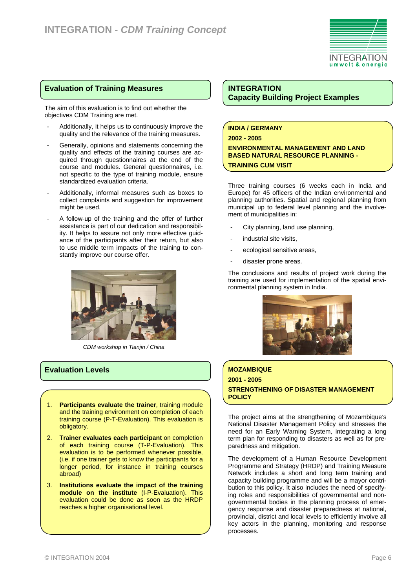

# **Evaluation of Training Measures**

The aim of this evaluation is to find out whether the objectives CDM Training are met.

- Additionally, it helps us to continuously improve the quality and the relevance of the training measures.
- Generally, opinions and statements concerning the quality and effects of the training courses are acquired through questionnaires at the end of the course and modules. General questionnaires, i.e. not specific to the type of training module, ensure standardized evaluation criteria.
- Additionally, informal measures such as boxes to collect complaints and suggestion for improvement might be used.
- A follow-up of the training and the offer of further assistance is part of our dedication and responsibility. It helps to assure not only more effective guidance of the participants after their return, but also to use middle term impacts of the training to constantly improve our course offer.



*CDM workshop in Tianjin / China* 

# **Evaluation Levels**

- 1. **Participants evaluate the trainer**, training module and the training environment on completion of each training course (P-T-Evaluation). This evaluation is obligatory.
- 2. **Trainer evaluates each participant** on completion of each training course (T-P-Evaluation). This evaluation is to be performed whenever possible, (i.e. if one trainer gets to know the participants for a longer period, for instance in training courses abroad)
- 3. **Institutions evaluate the impact of the training module on the institute** (I-P-Evaluation). This evaluation could be done as soon as the HRDP reaches a higher organisational level.

# **INTEGRATION Capacity Building Project Examples**

#### **INDIA / GERMANY 2002 - 2005**

**ENVIRONMENTAL MANAGEMENT AND LAND BASED NATURAL RESOURCE PLANNING - TRAINING CUM VISIT** 

Three training courses (6 weeks each in India and Europe) for 45 officers of the Indian environmental and planning authorities. Spatial and regional planning from municipal up to federal level planning and the involvement of municipalities in:

- City planning, land use planning.
- industrial site visits,
- ecological sensitive areas,
- disaster prone areas.

The conclusions and results of project work during the training are used for implementation of the spatial environmental planning system in India.



# **MOZAMBIQUE 2001 - 2005 STRENGTHENING OF DISASTER MANAGEMENT POLICY**

The project aims at the strengthening of Mozambique's National Disaster Management Policy and stresses the need for an Early Warning System, integrating a long term plan for responding to disasters as well as for preparedness and mitigation.

The development of a Human Resource Development Programme and Strategy (HRDP) and Training Measure Network includes a short and long term training and capacity building programme and will be a mayor contribution to this policy. It also includes the need of specifying roles and responsibilities of governmental and nongovernmental bodies in the planning process of emergency response and disaster preparedness at national, provincial, district and local levels to efficiently involve all key actors in the planning, monitoring and response processes.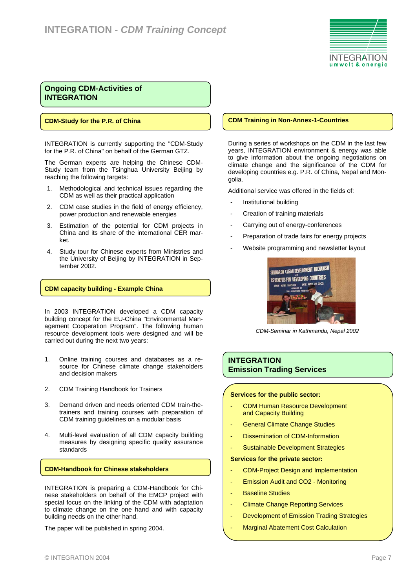

# **Ongoing CDM-Activities of INTEGRATION**

#### **CDM-Study for the P.R. of China**

INTEGRATION is currently supporting the "CDM-Study for the P.R. of China" on behalf of the German GTZ.

The German experts are helping the Chinese CDM-Study team from the Tsinghua University Beijing by reaching the following targets:

- 1. Methodological and technical issues regarding the CDM as well as their practical application
- 2. CDM case studies in the field of energy efficiency, power production and renewable energies
- 3. Estimation of the potential for CDM projects in China and its share of the international CER market.
- 4. Study tour for Chinese experts from Ministries and the University of Beijing by INTEGRATION in September 2002.

#### **CDM capacity building - Example China**

In 2003 INTEGRATION developed a CDM capacity building concept for the EU-China "Environmental Management Cooperation Program". The following human resource development tools were designed and will be carried out during the next two years:

- 1. Online training courses and databases as a resource for Chinese climate change stakeholders and decision makers
- 2. CDM Training Handbook for Trainers
- 3. Demand driven and needs oriented CDM train-thetrainers and training courses with preparation of CDM training guidelines on a modular basis
- 4. Multi-level evaluation of all CDM capacity building measures by designing specific quality assurance standards

#### **CDM-Handbook for Chinese stakeholders**

INTEGRATION is preparing a CDM-Handbook for Chinese stakeholders on behalf of the EMCP project with special focus on the linking of the CDM with adaptation to climate change on the one hand and with capacity building needs on the other hand.

The paper will be published in spring 2004.

#### **CDM Training in Non-Annex-1-Countries**

During a series of workshops on the CDM in the last few years, INTEGRATION environment & energy was able to give information about the ongoing negotiations on climate change and the significance of the CDM for developing countries e.g. P.R. of China, Nepal and Mongolia.

Additional service was offered in the fields of:

- Institutional building
- Creation of training materials
- Carrying out of energy-conferences
- Preparation of trade fairs for energy projects
- Website programming and newsletter layout



*CDM-Seminar in Kathmandu, Nepal 2002* 

#### **INTEGRATION Emission Trading Services**

#### **Services for the public sector:**

- CDM Human Resource Development and Capacity Building
- **General Climate Change Studies**
- Dissemination of CDM-Information
- Sustainable Development Strategies

#### **Services for the private sector:**

- CDM-Project Design and Implementation
- Emission Audit and CO2 Monitoring
- Baseline Studies
- Climate Change Reporting Services
- Development of Emission Trading Strategies
- Marginal Abatement Cost Calculation